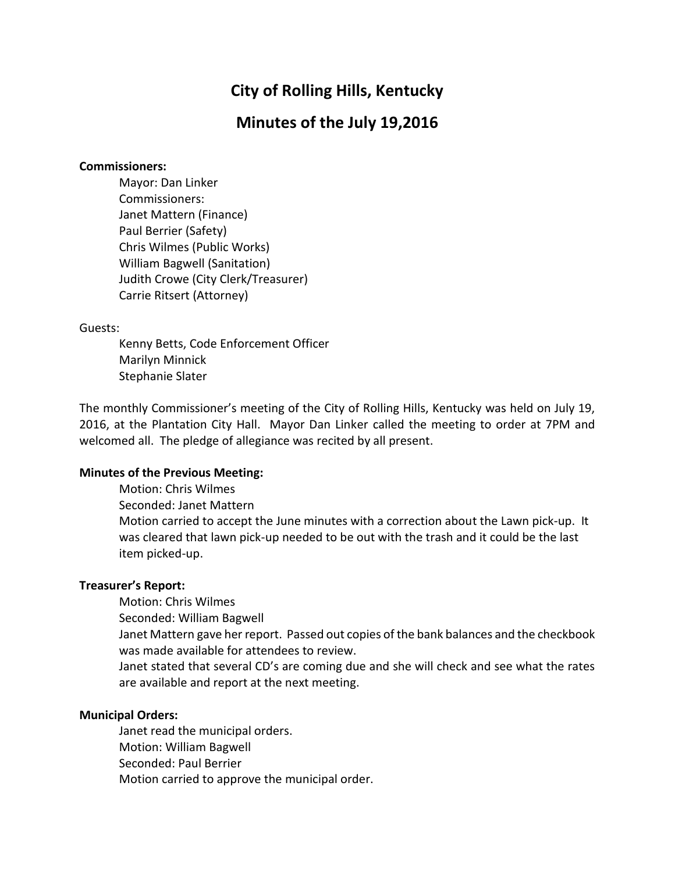# **City of Rolling Hills, Kentucky**

## **Minutes of the July 19,2016**

#### **Commissioners:**

Mayor: Dan Linker Commissioners: Janet Mattern (Finance) Paul Berrier (Safety) Chris Wilmes (Public Works) William Bagwell (Sanitation) Judith Crowe (City Clerk/Treasurer) Carrie Ritsert (Attorney)

#### Guests:

Kenny Betts, Code Enforcement Officer Marilyn Minnick Stephanie Slater

The monthly Commissioner's meeting of the City of Rolling Hills, Kentucky was held on July 19, 2016, at the Plantation City Hall. Mayor Dan Linker called the meeting to order at 7PM and welcomed all. The pledge of allegiance was recited by all present.

## **Minutes of the Previous Meeting:**

Motion: Chris Wilmes Seconded: Janet Mattern Motion carried to accept the June minutes with a correction about the Lawn pick-up. It was cleared that lawn pick-up needed to be out with the trash and it could be the last item picked-up.

### **Treasurer's Report:**

Motion: Chris Wilmes

Seconded: William Bagwell

Janet Mattern gave her report. Passed out copies of the bank balances and the checkbook was made available for attendees to review.

Janet stated that several CD's are coming due and she will check and see what the rates are available and report at the next meeting.

### **Municipal Orders:**

Janet read the municipal orders. Motion: William Bagwell Seconded: Paul Berrier Motion carried to approve the municipal order.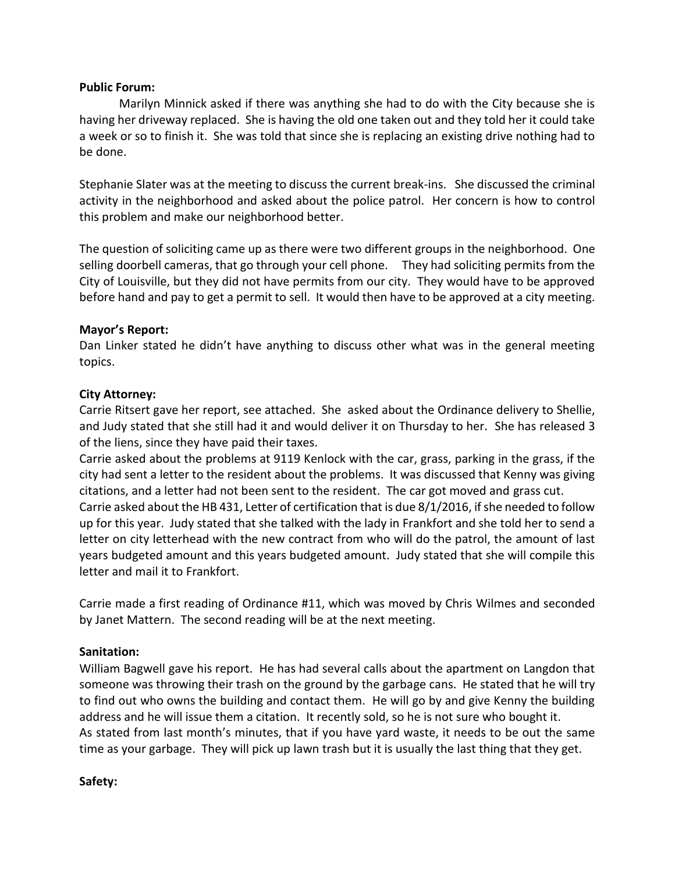### **Public Forum:**

Marilyn Minnick asked if there was anything she had to do with the City because she is having her driveway replaced. She is having the old one taken out and they told her it could take a week or so to finish it. She was told that since she is replacing an existing drive nothing had to be done.

Stephanie Slater was at the meeting to discuss the current break-ins. She discussed the criminal activity in the neighborhood and asked about the police patrol. Her concern is how to control this problem and make our neighborhood better.

The question of soliciting came up as there were two different groups in the neighborhood. One selling doorbell cameras, that go through your cell phone. They had soliciting permits from the City of Louisville, but they did not have permits from our city. They would have to be approved before hand and pay to get a permit to sell. It would then have to be approved at a city meeting.

### **Mayor's Report:**

Dan Linker stated he didn't have anything to discuss other what was in the general meeting topics.

#### **City Attorney:**

Carrie Ritsert gave her report, see attached. She asked about the Ordinance delivery to Shellie, and Judy stated that she still had it and would deliver it on Thursday to her. She has released 3 of the liens, since they have paid their taxes.

Carrie asked about the problems at 9119 Kenlock with the car, grass, parking in the grass, if the city had sent a letter to the resident about the problems. It was discussed that Kenny was giving citations, and a letter had not been sent to the resident. The car got moved and grass cut. Carrie asked about the HB 431, Letter of certification that is due 8/1/2016, if she needed to follow up for this year. Judy stated that she talked with the lady in Frankfort and she told her to send a letter on city letterhead with the new contract from who will do the patrol, the amount of last years budgeted amount and this years budgeted amount. Judy stated that she will compile this letter and mail it to Frankfort.

Carrie made a first reading of Ordinance #11, which was moved by Chris Wilmes and seconded by Janet Mattern. The second reading will be at the next meeting.

## **Sanitation:**

William Bagwell gave his report. He has had several calls about the apartment on Langdon that someone was throwing their trash on the ground by the garbage cans. He stated that he will try to find out who owns the building and contact them. He will go by and give Kenny the building address and he will issue them a citation. It recently sold, so he is not sure who bought it. As stated from last month's minutes, that if you have yard waste, it needs to be out the same time as your garbage. They will pick up lawn trash but it is usually the last thing that they get.

### **Safety:**